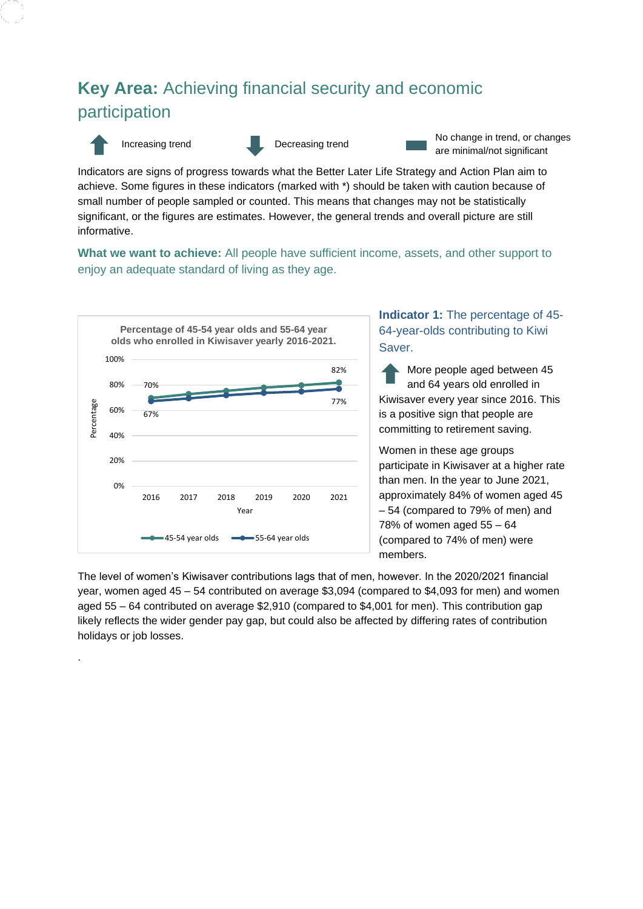# **Key Area:** Achieving financial security and economic participation



.

Increasing trend Decreasing trend No change in trend, or changes are minimal/not significant

Indicators are signs of progress towards what the Better Later Life Strategy and Action Plan aim to achieve. Some figures in these indicators (marked with \*) should be taken with caution because of small number of people sampled or counted. This means that changes may not be statistically significant, or the figures are estimates. However, the general trends and overall picture are still informative.

**What we want to achieve:** All people have sufficient income, assets, and other support to enjoy an adequate standard of living as they age.



## **Indicator 1:** The percentage of 45- 64-year-olds contributing to Kiwi Saver.

More people aged between 45 and 64 years old enrolled in Kiwisaver every year since 2016. This is a positive sign that people are committing to retirement saving.

Women in these age groups participate in Kiwisaver at a higher rate than men. In the year to June 2021, approximately 84% of women aged 45 – 54 (compared to 79% of men) and 78% of women aged 55 – 64 (compared to 74% of men) were members.

The level of women's Kiwisaver contributions lags that of men, however. In the 2020/2021 financial year, women aged 45 – 54 contributed on average \$3,094 (compared to \$4,093 for men) and women aged 55 – 64 contributed on average \$2,910 (compared to \$4,001 for men). This contribution gap likely reflects the wider gender pay gap, but could also be affected by differing rates of contribution holidays or job losses.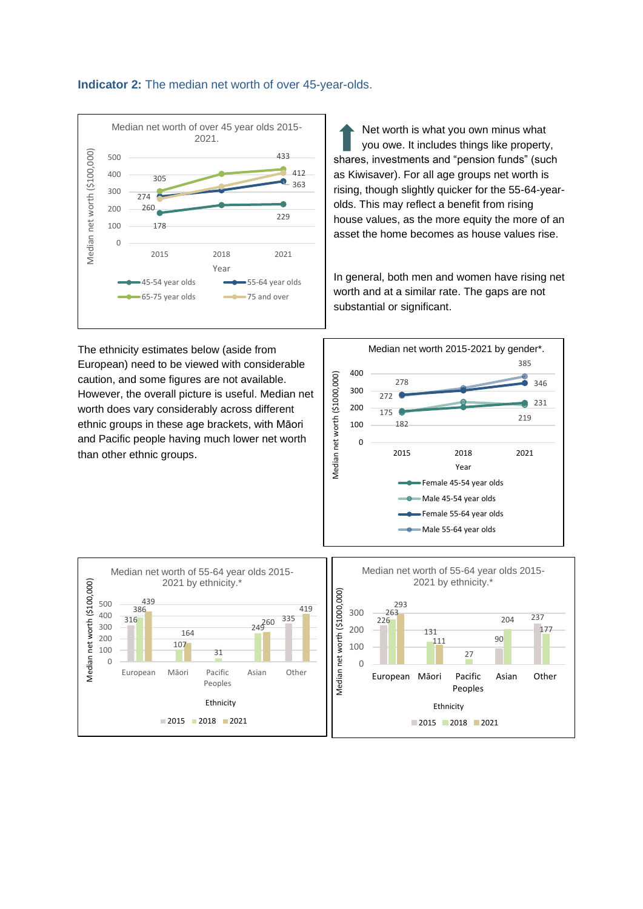



Net worth is what you own minus what you owe. It includes things like property, shares, investments and "pension funds" (such as Kiwisaver). For all age groups net worth is rising, though slightly quicker for the 55-64-yearolds. This may reflect a benefit from rising house values, as the more equity the more of an asset the home becomes as house values rise.

In general, both men and women have rising net worth and at a similar rate. The gaps are not substantial or significant.

The ethnicity estimates below (aside from European) need to be viewed with considerable caution, and some figures are not available. However, the overall picture is useful. Median net worth does vary considerably across different ethnic groups in these age brackets, with Māori and Pacific people having much lower net worth than other ethnic groups.



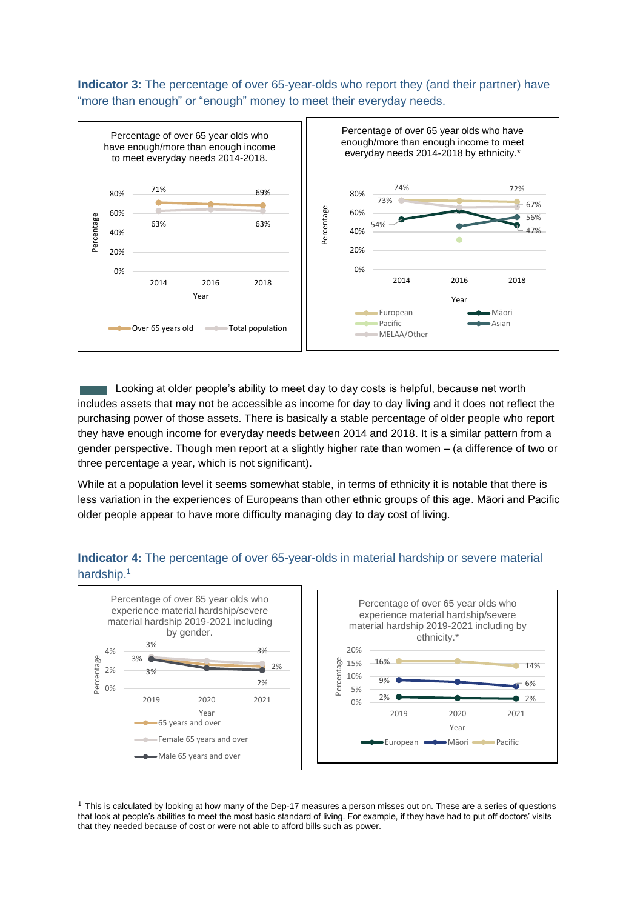**Indicator 3:** The percentage of over 65-year-olds who report they (and their partner) have "more than enough" or "enough" money to meet their everyday needs.



Looking at older people's ability to meet day to day costs is helpful, because net worth includes assets that may not be accessible as income for day to day living and it does not reflect the purchasing power of those assets. There is basically a stable percentage of older people who report they have enough income for everyday needs between 2014 and 2018. It is a similar pattern from a gender perspective. Though men report at a slightly higher rate than women – (a difference of two or three percentage a year, which is not significant).

While at a population level it seems somewhat stable, in terms of ethnicity it is notable that there is less variation in the experiences of Europeans than other ethnic groups of this age. Māori and Pacific older people appear to have more difficulty managing day to day cost of living.

### **Indicator 4:** The percentage of over 65-year-olds in material hardship or severe material hardship. 1



 $1$  This is calculated by looking at how many of the Dep-17 measures a person misses out on. These are a series of questions that look at people's abilities to meet the most basic standard of living. For example, if they have had to put off doctors' visits that they needed because of cost or were not able to afford bills such as power.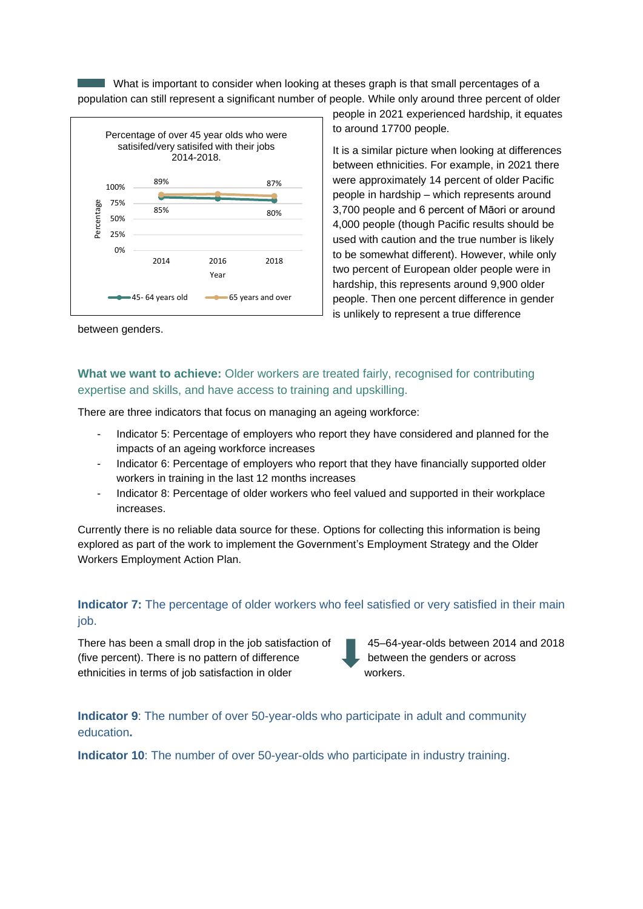What is important to consider when looking at theses graph is that small percentages of a population can still represent a significant number of people. While only around three percent of older



people in 2021 experienced hardship, it equates to around 17700 people*.* 

It is a similar picture when looking at differences between ethnicities. For example, in 2021 there were approximately 14 percent of older Pacific people in hardship – which represents around 3,700 people and 6 percent of Māori or around 4,000 people (though Pacific results should be used with caution and the true number is likely to be somewhat different). However, while only two percent of European older people were in hardship, this represents around 9,900 older people. Then one percent difference in gender is unlikely to represent a true difference

between genders.

## **What we want to achieve:** Older workers are treated fairly, recognised for contributing expertise and skills, and have access to training and upskilling.

There are three indicators that focus on managing an ageing workforce:

- Indicator 5: Percentage of employers who report they have considered and planned for the impacts of an ageing workforce increases
- Indicator 6: Percentage of employers who report that they have financially supported older workers in training in the last 12 months increases
- Indicator 8: Percentage of older workers who feel valued and supported in their workplace increases.

Currently there is no reliable data source for these. Options for collecting this information is being explored as part of the work to implement the Government's Employment Strategy and the Older Workers Employment Action Plan.

### **Indicator 7:** The percentage of older workers who feel satisfied or very satisfied in their main iob.

There has been a small drop in the job satisfaction of 45–64-year-olds between 2014 and 2018 (five percent). There is no pattern of difference  $\qquad \qquad$  between the genders or across ethnicities in terms of job satisfaction in older workers.

**Indicator 9**: The number of over 50-year-olds who participate in adult and community education**.**

**Indicator 10**: The number of over 50-year-olds who participate in industry training.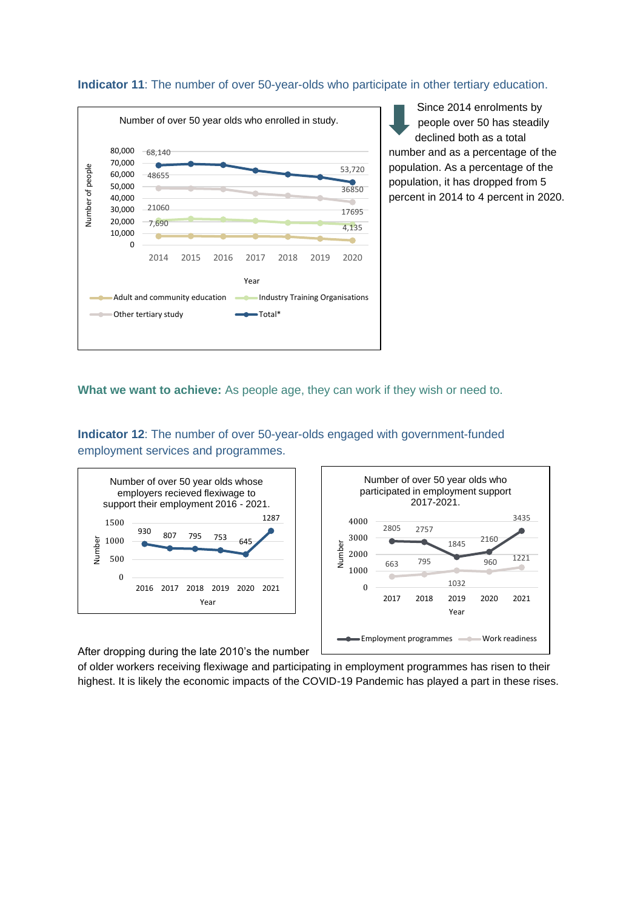#### **Indicator 11**: The number of over 50-year-olds who participate in other tertiary education.



Since 2014 enrolments by people over 50 has steadily declined both as a total number and as a percentage of the population. As a percentage of the population, it has dropped from 5 percent in 2014 to 4 percent in 2020.

**What we want to achieve:** As people age, they can work if they wish or need to.

**Indicator 12**: The number of over 50-year-olds engaged with government-funded employment services and programmes.





After dropping during the late 2010's the number

of older workers receiving flexiwage and participating in employment programmes has risen to their highest. It is likely the economic impacts of the COVID-19 Pandemic has played a part in these rises.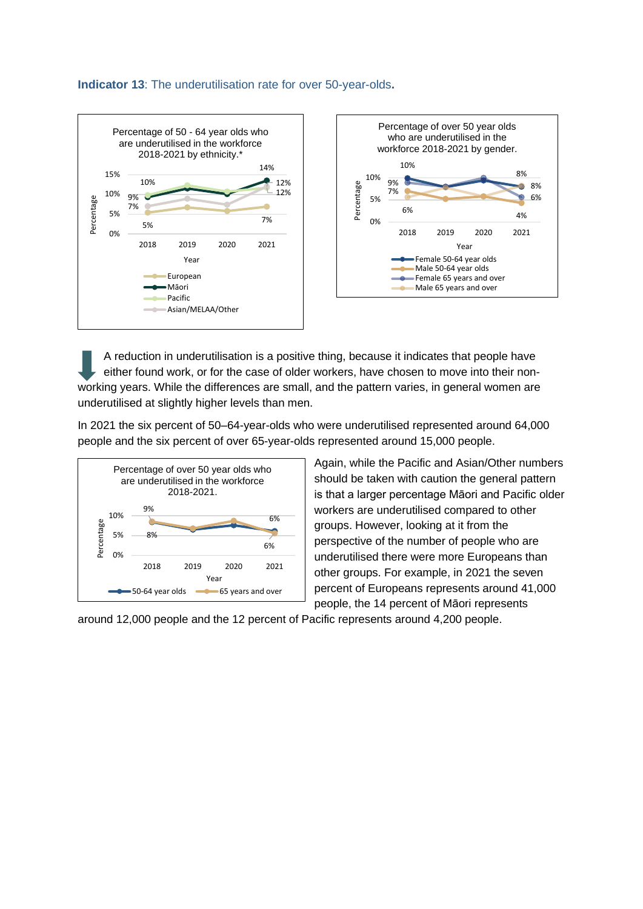#### **Indicator 13**: The underutilisation rate for over 50-year-olds**.**





A reduction in underutilisation is a positive thing, because it indicates that people have either found work, or for the case of older workers, have chosen to move into their nonworking years. While the differences are small, and the pattern varies, in general women are underutilised at slightly higher levels than men.

In 2021 the six percent of 50–64-year-olds who were underutilised represented around 64,000 people and the six percent of over 65-year-olds represented around 15,000 people.



Again, while the Pacific and Asian/Other numbers should be taken with caution the general pattern is that a larger percentage Māori and Pacific older workers are underutilised compared to other groups. However, looking at it from the perspective of the number of people who are underutilised there were more Europeans than other groups. For example, in 2021 the seven percent of Europeans represents around 41,000 people, the 14 percent of Māori represents

around 12,000 people and the 12 percent of Pacific represents around 4,200 people.